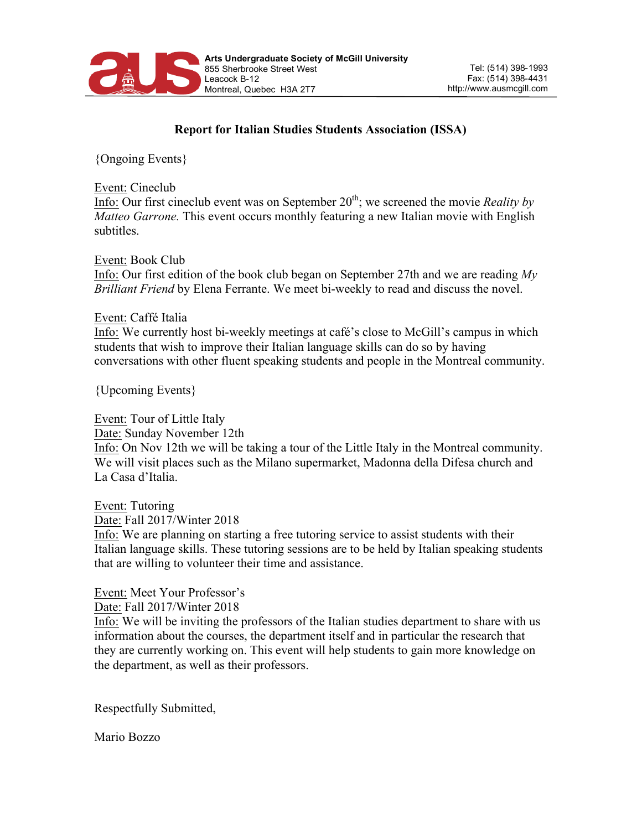

## **Report for Italian Studies Students Association (ISSA)**

{Ongoing Events}

Event: Cineclub

Info: Our first cineclub event was on September  $20<sup>th</sup>$ ; we screened the movie *Reality by Matteo Garrone.* This event occurs monthly featuring a new Italian movie with English subtitles.

Event: Book Club Info: Our first edition of the book club began on September 27th and we are reading *My Brilliant Friend* by Elena Ferrante. We meet bi-weekly to read and discuss the novel.

## Event: Caffé Italia

Info: We currently host bi-weekly meetings at café's close to McGill's campus in which students that wish to improve their Italian language skills can do so by having conversations with other fluent speaking students and people in the Montreal community.

{Upcoming Events}

Event: Tour of Little Italy Date: Sunday November 12th Info: On Nov 12th we will be taking a tour of the Little Italy in the Montreal community. We will visit places such as the Milano supermarket, Madonna della Difesa church and La Casa d'Italia.

Event: Tutoring Date: Fall 2017/Winter 2018 Info: We are planning on starting a free tutoring service to assist students with their Italian language skills. These tutoring sessions are to be held by Italian speaking students that are willing to volunteer their time and assistance.

Event: Meet Your Professor's

Date: Fall 2017/Winter 2018

Info: We will be inviting the professors of the Italian studies department to share with us information about the courses, the department itself and in particular the research that they are currently working on. This event will help students to gain more knowledge on the department, as well as their professors.

Respectfully Submitted,

Mario Bozzo